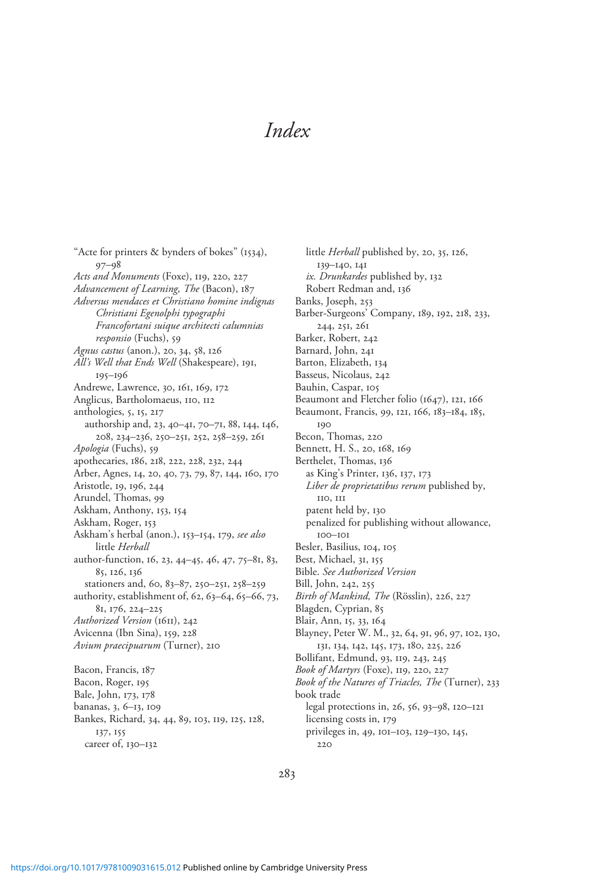"Acte for printers & bynders of bokes" (1534), 97–98 Acts and Monuments (Foxe), 119, 220, 227 Advancement of Learning, The (Bacon), 187 Adversus mendaces et Christiano homine indignas Christiani Egenolphi typographi Francofortani suique architecti calumnias responsio (Fuchs), 59 Agnus castus (anon.), 20, 34, 58, 126 All's Well that Ends Well (Shakespeare), 191, 195–196 Andrewe, Lawrence, 30, 161, 169, 172 Anglicus, Bartholomaeus, 110, 112 anthologies, 5, 15, 217 authorship and, 23, 40–41, 70–71, 88, 144, 146, 208, 234–236, 250–251, 252, 258–259, 261 Apologia (Fuchs), 59 apothecaries, 186, 218, 222, 228, 232, 244 Arber, Agnes, 14, 20, 40, 73, 79, 87, 144, 160, 170 Aristotle, 19, 196, 244 Arundel, Thomas, 99 Askham, Anthony, 153, 154 Askham, Roger, 153 Askham's herbal (anon.), 153–154, 179, see also little Herball author-function, 16, 23, 44–45, 46, 47, 75–81, 83, 85, 126, 136 stationers and, 60, 83–87, 250–251, 258–259 authority, establishment of, 62, 63–64, 65–66, 73, 81, 176, 224–225 Authorized Version (1611), 242 Avicenna (Ibn Sina), 159, 228 Avium praecipuarum (Turner), 210 Bacon, Francis, 187 Bacon, Roger, 195 Bale, John, 173, 178 bananas, 3, 6–13, 109 Bankes, Richard, 34, 44, 89, 103, 119, 125, 128, 137, 155 career of, 130–132

little Herball published by, 20, 35, 126, 139–140, 141 ix. Drunkardes published by, 132 Robert Redman and, 136 Banks, Joseph, 253 Barber-Surgeons' Company, 189, 192, 218, 233, 244, 251, 261 Barker, Robert, 242 Barnard, John, 241 Barton, Elizabeth, 134 Basseus, Nicolaus, 242 Bauhin, Caspar, 105 Beaumont and Fletcher folio (1647), 121, 166 Beaumont, Francis, 99, 121, 166, 183–184, 185, 190 Becon, Thomas, 220 Bennett, H. S., 20, 168, 169 Berthelet, Thomas, 136 as King's Printer, 136, 137, 173 Liber de proprietatibus rerum published by, 110, 111 patent held by, 130 penalized for publishing without allowance, 100–101 Besler, Basilius, 104, 105 Best, Michael, 31, 155 Bible. See Authorized Version Bill, John, 242, 255 Birth of Mankind, The (Rösslin), 226, 227 Blagden, Cyprian, 85 Blair, Ann, 15, 33, 164 Blayney, Peter W. M., 32, 64, 91, 96, 97, 102, 130, 131, 134, 142, 145, 173, 180, 225, 226 Bollifant, Edmund, 93, 119, 243, 245 Book of Martyrs (Foxe), 119, 220, 227 Book of the Natures of Triacles, The (Turner), 233 book trade legal protections in, 26, 56, 93–98, 120–121 licensing costs in, 179 privileges in, 49, 101–103, 129–130, 145,  $220$ 

283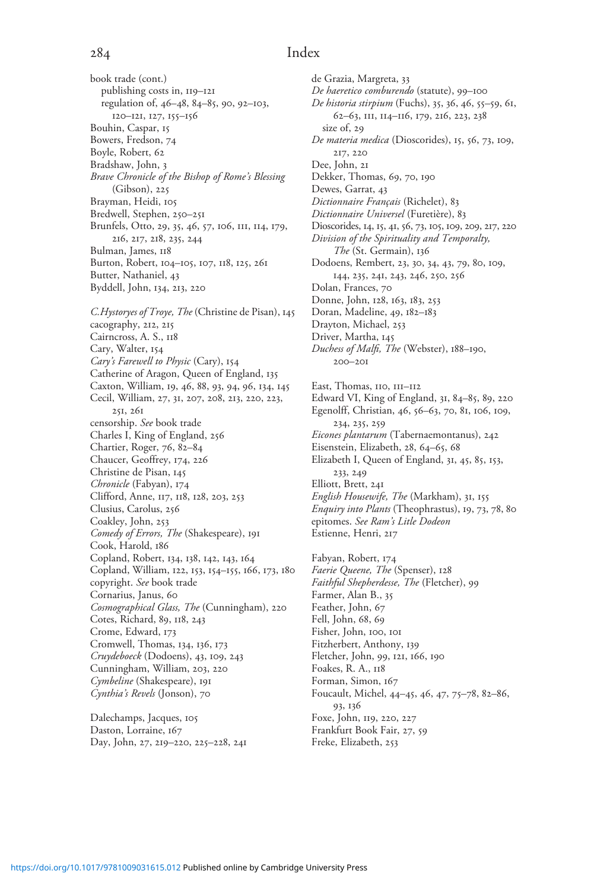book trade (cont.) publishing costs in, 119–121 regulation of, 46–48, 84–85, 90, 92–103, 120–121, 127, 155–156 Bouhin, Caspar, 15 Bowers, Fredson, 74 Boyle, Robert, 62 Bradshaw, John, 3 Brave Chronicle of the Bishop of Rome's Blessing (Gibson), 225 Brayman, Heidi, 105 Bredwell, Stephen, 250–251 Brunfels, Otto, 29, 35, 46, 57, 106, 111, 114, 179, 216, 217, 218, 235, 244 Bulman, James, 118 Burton, Robert, 104–105, 107, 118, 125, 261 Butter, Nathaniel, 43 Byddell, John, 134, 213, 220 C.Hystoryes of Troye, The (Christine de Pisan), 145 cacography, 212, 215 Cairncross, A. S., 118 Cary, Walter, 154 Cary's Farewell to Physic (Cary), 154 Catherine of Aragon, Queen of England, 135 Caxton, William, 19, 46, 88, 93, 94, 96, 134, 145 Cecil, William, 27, 31, 207, 208, 213, 220, 223, 251, 261 censorship. See book trade Charles I, King of England, 256 Chartier, Roger, 76, 82–84 Chaucer, Geoffrey, 174, 226 Christine de Pisan, 145 Chronicle (Fabyan), 174 Clifford, Anne, 117, 118, 128, 203, 253 Clusius, Carolus, 256 Coakley, John, 253 Comedy of Errors, The (Shakespeare), 191 Cook, Harold, 186 Copland, Robert, 134, 138, 142, 143, 164 Copland, William, 122, 153, 154–155, 166, 173, 180 copyright. See book trade Cornarius, Janus, 60 Cosmographical Glass, The (Cunningham), 220 Cotes, Richard, 89, 118, 243 Crome, Edward, 173 Cromwell, Thomas, 134, 136, 173 Cruydeboeck (Dodoens), 43, 109, 243 Cunningham, William, 203, 220 Cymbeline (Shakespeare), 191 Cynthia's Revels (Jonson), 70

Dalechamps, Jacques, 105 Daston, Lorraine, 167 Day, John, 27, 219–220, 225–228, 241 de Grazia, Margreta, 33 De haeretico comburendo (statute), 99–100 De historia stirpium (Fuchs), 35, 36, 46, 55–59, 61, 62–63, 111, 114–116, 179, 216, 223, 238 size of, 29 De materia medica (Dioscorides), 15, 56, 73, 109, 217, 220 Dee, John, 21 Dekker, Thomas, 69, 70, 190 Dewes, Garrat, 43 Dictionnaire Français (Richelet), 83 Dictionnaire Universel (Furetière), 83 Dioscorides, 14, 15, 41, 56, 73, 105, 109, 209, 217, 220 Division of the Spirituality and Temporalty, The (St. Germain), 136 Dodoens, Rembert, 23, 30, 34, 43, 79, 80, 109, 144, 235, 241, 243, 246, 250, 256 Dolan, Frances, 70 Donne, John, 128, 163, 183, 253 Doran, Madeline, 49, 182–183 Drayton, Michael, 253 Driver, Martha, 145 Duchess of Malfi, The (Webster), 188–190, 200–201 East, Thomas, 110, 111–112 Edward VI, King of England, 31, 84–85, 89, 220 Egenolff, Christian, 46, 56–63, 70, 81, 106, 109, 234, 235, 259 Eicones plantarum (Tabernaemontanus), 242 Eisenstein, Elizabeth, 28, 64–65, 68 Elizabeth I, Queen of England, 31, 45, 85, 153, 233, 249 Elliott, Brett, 241 English Housewife, The (Markham), 31, 155 Enquiry into Plants (Theophrastus), 19, 73, 78, 80 epitomes. See Ram's Litle Dodeon Estienne, Henri, 217 Fabyan, Robert, 174 Faerie Queene, The (Spenser), 128 Faithful Shepherdesse, The (Fletcher), 99 Farmer, Alan B., 35 Feather, John, 67 Fell, John, 68, 69 Fisher, John, 100, 101 Fitzherbert, Anthony, 139 Fletcher, John, 99, 121, 166, 190 Foakes, R. A., 118 Forman, Simon, 167 Foucault, Michel, 44–45, 46, 47, 75–78, 82–86, 93, 136 Foxe, John, 119, 220, 227 Frankfurt Book Fair, 27, 59 Freke, Elizabeth, 253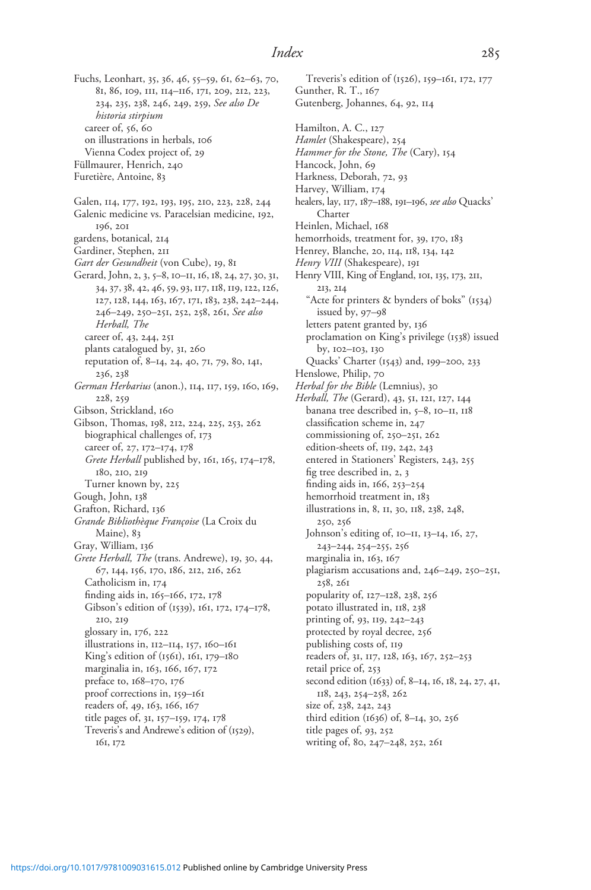Fuchs, Leonhart, 35, 36, 46, 55–59, 61, 62–63, 70, 81, 86, 109, 111, 114–116, 171, 209, 212, 223, 234, 235, 238, 246, 249, 259, See also De historia stirpium career of, 56, 60 on illustrations in herbals, 106 Vienna Codex project of, 29 Füllmaurer, Henrich, 240 Furetière, Antoine, 83 Galen, 114, 177, 192, 193, 195, 210, 223, 228, 244 Galenic medicine vs. Paracelsian medicine, 192, 196, 201 gardens, botanical, 214 Gardiner, Stephen, 211 Gart der Gesundheit (von Cube), 19, 81 Gerard, John, 2, 3, 5–8, 10–11, 16, 18, 24, 27, 30, 31, 34,37,38, 42, 46,59, 93, 117, 118, 119, 122, 126, 127, 128, 144, 163, 167, 171, 183, 238, 242–244, 246–249, 250–251, 252, 258, 261, See also Herball, The career of, 43, 244, 251 plants catalogued by, 31, 260 reputation of, 8–14, 24, 40, 71, 79, 80, 141, 236, 238 German Herbarius (anon.), 114, 117, 159, 160, 169, 228, 259 Gibson, Strickland, 160 Gibson, Thomas, 198, 212, 224, 225, 253, 262 biographical challenges of, 173 career of, 27, 172–174, 178 Grete Herball published by, 161, 165, 174–178, 180, 210, 219 Turner known by, 225 Gough, John, 138 Grafton, Richard, 136 Grande Bibliothèque Françoise (La Croix du Maine), 83 Gray, William, 136 Grete Herball, The (trans. Andrewe), 19, 30, 44, 67, 144, 156, 170, 186, 212, 216, 262 Catholicism in, 174 finding aids in, 165–166, 172, 178 Gibson's edition of (1539), 161, 172, 174–178, 210, 219 glossary in, 176, 222 illustrations in, 112–114, 157, 160–161 King's edition of (1561), 161, 179–180 marginalia in, 163, 166, 167, 172 preface to, 168–170, 176 proof corrections in, 159–161 readers of, 49, 163, 166, 167 title pages of, 31, 157–159, 174, 178 Treveris's and Andrewe's edition of (1529), 161, 172

Treveris's edition of (1526), 159–161, 172, 177 Gunther, R. T., 167 Gutenberg, Johannes, 64, 92, 114 Hamilton, A. C., 127 Hamlet (Shakespeare), 254 Hammer for the Stone, The (Cary), 154 Hancock, John, 69 Harkness, Deborah, 72, 93 Harvey, William, 174 healers, lay, 117, 187-188, 191-196, see also Quacks' Charter Heinlen, Michael, 168 hemorrhoids, treatment for, 39, 170, 183 Henrey, Blanche, 20, 114, 118, 134, 142 Henry VIII (Shakespeare), 191 Henry VIII, King of England, 101, 135, 173, 211, 213, 214 "Acte for printers & bynders of boks" (1534) issued by, 97–98 letters patent granted by, 136 proclamation on King's privilege (1538) issued by, 102–103, 130 Quacks' Charter (1543) and, 199–200, 233 Henslowe, Philip, 70 Herbal for the Bible (Lemnius), 30 Herball, The (Gerard), 43, 51, 121, 127, 144 banana tree described in, 5–8, 10–11, 118 classification scheme in, 247 commissioning of, 250–251, 262 edition-sheets of, 119, 242, 243 entered in Stationers' Registers, 243, 255 fig tree described in, 2, 3 finding aids in, 166, 253–254 hemorrhoid treatment in, 183 illustrations in, 8, 11, 30, 118, 238, 248, 250, 256 Johnson's editing of, 10–11, 13–14, 16, 27, 243–244, 254–255, 256 marginalia in, 163, 167 plagiarism accusations and, 246–249, 250–251, 258, 261 popularity of, 127–128, 238, 256 potato illustrated in, 118, 238 printing of, 93, 119, 242–243 protected by royal decree, 256 publishing costs of, 119 readers of, 31, 117, 128, 163, 167, 252-253 retail price of, 253 second edition (1633) of, 8–14, 16, 18, 24, 27, 41, 118, 243, 254–258, 262 size of, 238, 242, 243 third edition (1636) of, 8–14, 30, 256 title pages of, 93, 252 writing of, 80, 247–248, 252, 261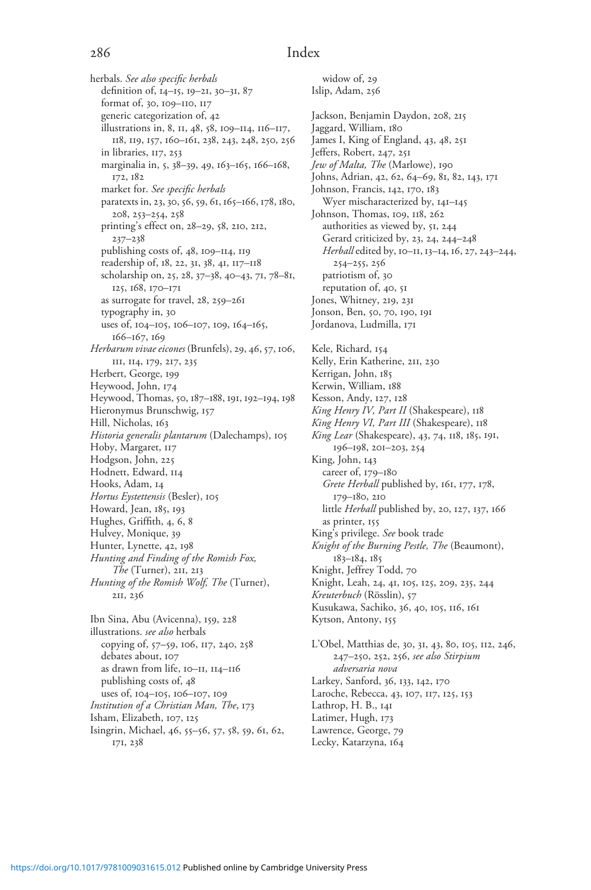herbals. See also specific herbals definition of, 14–15, 19–21, 30–31, 87 format of, 30, 109–110, 117 generic categorization of, 42 illustrations in, 8, 11, 48, 58, 109–114, 116–117, 118, 119, 157, 160–161, 238, 243, 248, 250, 256 in libraries, 117, 253 marginalia in, 5, 38–39, 49, 163–165, 166–168, 172, 182 market for. See specific herbals paratexts in, 23, 30, 56, 59, 61, 165-166, 178, 180, 208, 253–254, 258 printing's effect on, 28–29, 58, 210, 212, 237–238 publishing costs of, 48, 109–114, 119 readership of, 18, 22, 31, 38, 41, 117–118 scholarship on, 25, 28, 37–38, 40–43, 71, 78–81, 125, 168, 170–171 as surrogate for travel, 28, 259–261 typography in, 30 uses of, 104–105, 106–107, 109, 164–165, 166–167, 169 Herbarum vivae eicones (Brunfels), 29, 46, 57, 106, 111, 114, 179, 217, 235 Herbert, George, 199 Heywood, John, 174 Heywood, Thomas, 50, 187–188, 191, 192–194, 198 Hieronymus Brunschwig, 157 Hill, Nicholas, 163 Historia generalis plantarum (Dalechamps), 105 Hoby, Margaret, 117 Hodgson, John, 225 Hodnett, Edward, 114 Hooks, Adam, 14 Hortus Eystettensis (Besler), 105 Howard, Jean, 185, 193 Hughes, Griffith, 4, 6, 8 Hulvey, Monique, 39 Hunter, Lynette, 42, 198 Hunting and Finding of the Romish Fox, The (Turner), 211, 213 Hunting of the Romish Wolf, The (Turner), 211, 236 Ibn Sina, Abu (Avicenna), 159, 228 illustrations. see also herbals copying of, 57–59, 106, 117, 240, 258 debates about, 107 as drawn from life, 10–11, 114–116

widow of, 29 Islip, Adam, 256 Jackson, Benjamin Daydon, 208, 215 Jaggard, William, 180 James I, King of England, 43, 48, 251 Jeffers, Robert, 247, 251 Jew of Malta, The (Marlowe), 190 Johns, Adrian, 42, 62, 64–69, 81, 82, 143, 171 Johnson, Francis, 142, 170, 183 Wyer mischaracterized by, 141–145 Johnson, Thomas, 109, 118, 262 authorities as viewed by, 51, 244 Gerard criticized by, 23, 24, 244–248 Herball edited by, 10-11, 13-14, 16, 27, 243-244, 254–255, 256 patriotism of, 30 reputation of, 40, 51 Jones, Whitney, 219, 231 Jonson, Ben, 50, 70, 190, 191 Jordanova, Ludmilla, 171 Kele, Richard, 154 Kelly, Erin Katherine, 211, 230 Kerrigan, John, 185 Kerwin, William, 188 Kesson, Andy, 127, 128 King Henry IV, Part II (Shakespeare), 118 King Henry VI, Part III (Shakespeare), 118 King Lear (Shakespeare), 43, 74, 118, 185, 191, 196–198, 201–203, 254 King, John, 143 career of, 179–180 Grete Herball published by, 161, 177, 178, 179–180, 210 little Herball published by, 20, 127, 137, 166 as printer, 155 King's privilege. See book trade Knight of the Burning Pestle, The (Beaumont), 183–184, 185 Knight, Jeffrey Todd, 70 Knight, Leah, 24, 41, 105, 125, 209, 235, 244 Kreuterbuch (Rösslin), 57 Kusukawa, Sachiko, 36, 40, 105, 116, 161 Kytson, Antony, 155 L'Obel, Matthias de, 30, 31, 43, 80, 105, 112, 246, 247–250, 252, 256, see also Stirpium adversaria nova Larkey, Sanford, 36, 133, 142, 170 Laroche, Rebecca, 43, 107, 117, 125, 153 Lathrop, H. B., 141 Latimer, Hugh, 173 Lawrence, George, 79

Lecky, Katarzyna, 164

Isingrin, Michael, 46, 55–56, 57, 58, 59, 61, 62,

publishing costs of, 48 uses of, 104–105, 106–107, 109 Institution of a Christian Man, The, 173

Isham, Elizabeth, 107, 125

171, 238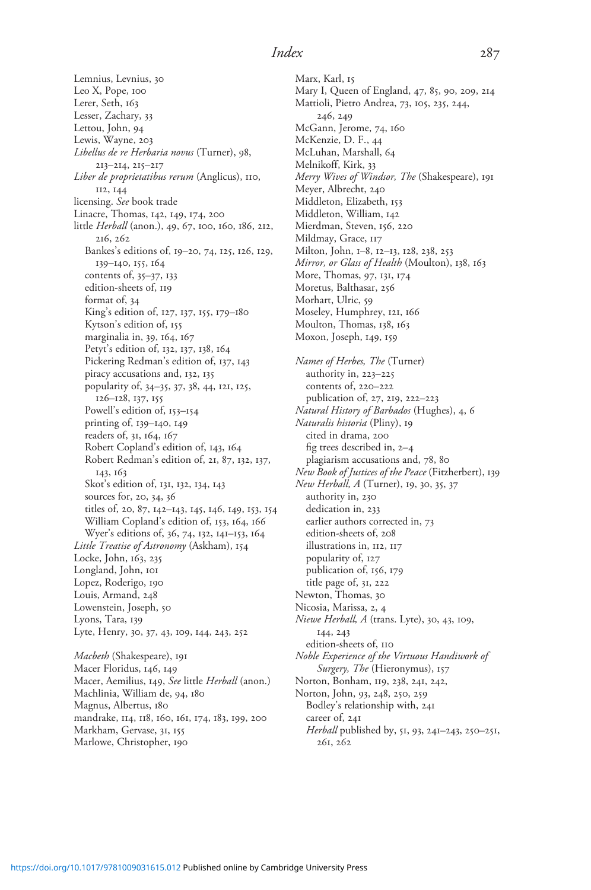Lemnius, Levnius, 30 Leo X, Pope, 100 Lerer, Seth, 163 Lesser, Zachary, 33 Lettou, John, 94 Lewis, Wayne, 203 Libellus de re Herbaria novus (Turner), 98, 213–214, 215–217 Liber de proprietatibus rerum (Anglicus), 110, 112, 144 licensing. See book trade Linacre, Thomas, 142, 149, 174, 200 little Herball (anon.), 49, 67, 100, 160, 186, 212, 216, 262 Bankes's editions of, 19–20, 74, 125, 126, 129, 139–140, 155, 164 contents of, 35–37, 133 edition-sheets of, 119 format of, 34 King's edition of, 127, 137, 155, 179–180 Kytson's edition of, 155 marginalia in, 39, 164, 167 Petyt's edition of, 132, 137, 138, 164 Pickering Redman's edition of, 137, 143 piracy accusations and, 132, 135 popularity of, 34–35, 37, 38, 44, 121, 125, 126–128, 137, 155 Powell's edition of, 153–154 printing of, 139–140, 149 readers of, 31, 164, 167 Robert Copland's edition of, 143, 164 Robert Redman's edition of, 21, 87, 132, 137, 143, 163 Skot's edition of, 131, 132, 134, 143 sources for, 20, 34, 36 titles of, 20, 87, 142–143, 145, 146, 149, 153, 154 William Copland's edition of, 153, 164, 166 Wyer's editions of, 36, 74, 132, 141–153, 164 Little Treatise of Astronomy (Askham), 154 Locke, John, 163, 235 Longland, John, 101 Lopez, Roderigo, 190 Louis, Armand, 248 Lowenstein, Joseph, 50 Lyons, Tara, 139 Lyte, Henry, 30, 37, 43, 109, 144, 243, 252

Macbeth (Shakespeare), 191 Macer Floridus, 146, 149 Macer, Aemilius, 149, See little Herball (anon.) Machlinia, William de, 94, 180 Magnus, Albertus, 180 mandrake, 114, 118, 160, 161, 174, 183, 199, 200 Markham, Gervase, 31, 155 Marlowe, Christopher, 190

Marx, Karl, 15 Mary I, Queen of England, 47, 85, 90, 209, 214 Mattioli, Pietro Andrea, 73, 105, 235, 244, 246, 249 McGann, Jerome, 74, 160 McKenzie, D. F., 44 McLuhan, Marshall, 64 Melnikoff, Kirk, 33 Merry Wives of Windsor, The (Shakespeare), 191 Meyer, Albrecht, 240 Middleton, Elizabeth, 153 Middleton, William, 142 Mierdman, Steven, 156, 220 Mildmay, Grace, 117 Milton, John, 1–8, 12–13, 128, 238, 253 Mirror, or Glass of Health (Moulton), 138, 163 More, Thomas, 97, 131, 174 Moretus, Balthasar, 256 Morhart, Ulric, 59 Moseley, Humphrey, 121, 166 Moulton, Thomas, 138, 163 Moxon, Joseph, 149, 159 Names of Herbes, The (Turner) authority in, 223–225 contents of, 220–222 publication of, 27, 219, 222–223 Natural History of Barbados (Hughes), 4, 6 Naturalis historia (Pliny), 19 cited in drama, 200 fig trees described in, 2–4 plagiarism accusations and, 78, 80 New Book of Justices of the Peace (Fitzherbert), 139 New Herball, A (Turner), 19, 30, 35, 37 authority in, 230 dedication in, 233 earlier authors corrected in, 73 edition-sheets of, 208

illustrations in, 112, 117

popularity of, 127

publication of, 156, 179 title page of, 31, 222

Newton, Thomas, 30

Nicosia, Marissa, 2, 4

Niewe Herball, A (trans. Lyte), 30, 43, 109, 144, 243

edition-sheets of, 110

Noble Experience of the Virtuous Handiwork of Surgery, The (Hieronymus), 157

Norton, Bonham, 119, 238, 241, 242,

Norton, John, 93, 248, 250, 259

Bodley's relationship with, 241

career of, 241 Herball published by, 51, 93, 241–243, 250–251, 261, 262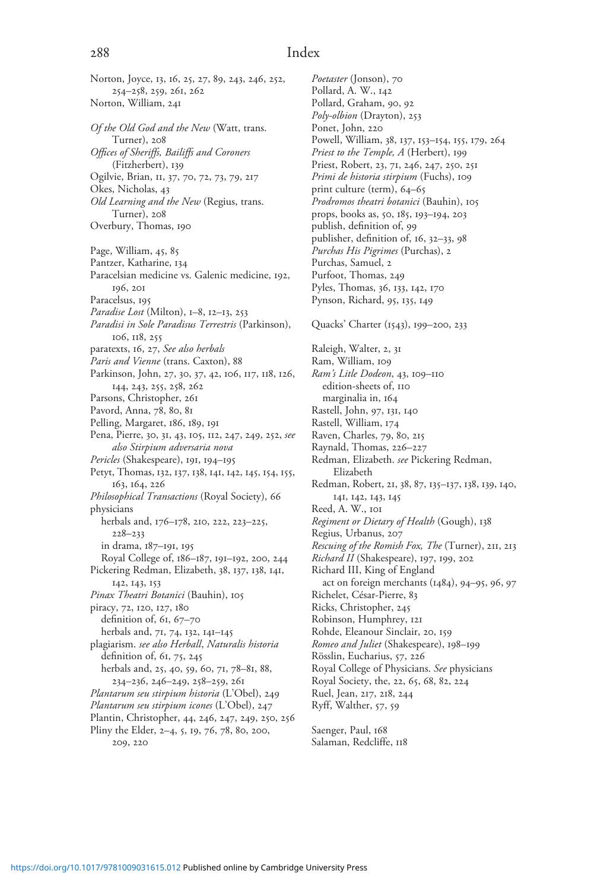Norton, Joyce, 13, 16, 25, 27, 89, 243, 246, 252, 254–258, 259, 261, 262 Norton, William, 241 Of the Old God and the New (Watt, trans. Turner), 208 Offices of Sheriffs, Bailiffs and Coroners (Fitzherbert), 139 Ogilvie, Brian, 11, 37, 70, 72, 73, 79, 217 Okes, Nicholas, 43 Old Learning and the New (Regius, trans. Turner), 208 Overbury, Thomas, 190 Page, William, 45, 85 Pantzer, Katharine, 134 Paracelsian medicine vs. Galenic medicine, 192, 196, 201 Paracelsus, 195 Paradise Lost (Milton), 1-8, 12-13, 253 Paradisi in Sole Paradisus Terrestris (Parkinson), 106, 118, 255 paratexts, 16, 27, See also herbals Paris and Vienne (trans. Caxton), 88 Parkinson, John, 27, 30, 37, 42, 106, 117, 118, 126, 144, 243, 255, 258, 262 Parsons, Christopher, 261 Pavord, Anna, 78, 80, 81 Pelling, Margaret, 186, 189, 191 Pena, Pierre, 30, 31, 43, 105, 112, 247, 249, 252, see also Stirpium adversaria nova Pericles (Shakespeare), 191, 194–195 Petyt, Thomas, 132, 137, 138, 141, 142, 145, 154, 155, 163, 164, 226 Philosophical Transactions (Royal Society), 66 physicians herbals and, 176–178, 210, 222, 223–225, 228–233 in drama, 187–191, 195 Royal College of, 186–187, 191–192, 200, 244 Pickering Redman, Elizabeth, 38, 137, 138, 141, 142, 143, 153 Pinax Theatri Botanici (Bauhin), 105 piracy, 72, 120, 127, 180 definition of, 61, 67–70 herbals and, 71, 74, 132, 141–145 plagiarism. see also Herball, Naturalis historia definition of, 61, 75, 245 herbals and, 25, 40, 59, 60, 71, 78–81, 88, 234–236, 246–249, 258–259, 261 Plantarum seu stirpium historia (L'Obel), 249 Plantarum seu stirpium icones (L'Obel), 247 Plantin, Christopher, 44, 246, 247, 249, 250, 256 Pliny the Elder, 2–4, 5, 19, 76, 78, 80, 200, 209, 220

Poetaster (Jonson), 70 Pollard, A. W., 142 Pollard, Graham, 90, 92 Poly-olbion (Drayton), 253 Ponet, John, 220 Powell, William, 38, 137, 153–154, 155, 179, 264 Priest to the Temple, A (Herbert), 199 Priest, Robert, 23, 71, 246, 247, 250, 251 Primi de historia stirpium (Fuchs), 109 print culture (term), 64–65 Prodromos theatri botanici (Bauhin), 105 props, books as, 50, 185, 193–194, 203 publish, definition of, 99 publisher, definition of, 16, 32–33, 98 Purchas His Pigrimes (Purchas), 2 Purchas, Samuel, 2 Purfoot, Thomas, 249 Pyles, Thomas, 36, 133, 142, 170 Pynson, Richard, 95, 135, 149 Quacks' Charter (1543), 199–200, 233 Raleigh, Walter, 2, 31 Ram, William, 109 Ram's Litle Dodeon, 43, 109–110 edition-sheets of, 110 marginalia in, 164 Rastell, John, 97, 131, 140 Rastell, William, 174 Raven, Charles, 79, 80, 215 Raynald, Thomas, 226–227 Redman, Elizabeth. see Pickering Redman, Elizabeth Redman, Robert, 21, 38, 87, 135–137, 138, 139, 140, 141, 142, 143, 145 Reed, A. W., 101 Regiment or Dietary of Health (Gough), 138 Regius, Urbanus, 207 Rescuing of the Romish Fox, The (Turner), 211, 213 Richard II (Shakespeare), 197, 199, 202 Richard III, King of England act on foreign merchants (1484), 94–95, 96, 97 Richelet, César-Pierre, 83 Ricks, Christopher, 245 Robinson, Humphrey, 121 Rohde, Eleanour Sinclair, 20, 159 Romeo and Juliet (Shakespeare), 198–199 Rösslin, Eucharius, 57, 226 Royal College of Physicians. See physicians Royal Society, the, 22, 65, 68, 82, 224 Ruel, Jean, 217, 218, 244 Ryff, Walther, 57, 59

Saenger, Paul, 168 Salaman, Redcliffe, 118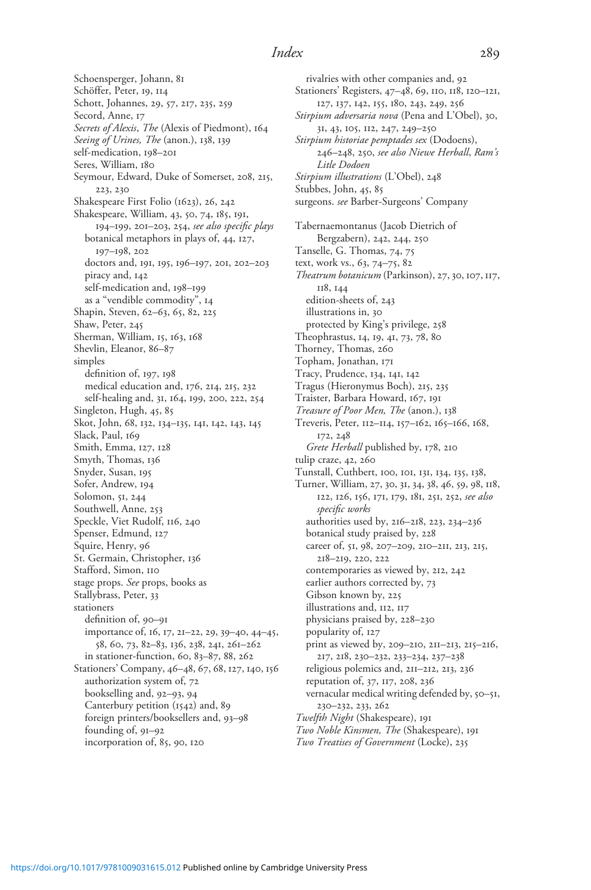Schoensperger, Johann, 81 Schöffer, Peter, 19, 114 Schott, Johannes, 29, 57, 217, 235, 259 Secord, Anne, 17 Secrets of Alexis, The (Alexis of Piedmont), 164 Seeing of Urines, The (anon.), 138, 139 self-medication, 198–201 Seres, William, 180 Seymour, Edward, Duke of Somerset, 208, 215, 223, 230 Shakespeare First Folio (1623), 26, 242 Shakespeare, William, 43, 50, 74, 185, 191, 194–199, 201–203, 254, see also specific plays botanical metaphors in plays of, 44, 127, 197–198, 202 doctors and, 191, 195, 196–197, 201, 202–203 piracy and, 142 self-medication and, 198–199 as a "vendible commodity", 14 Shapin, Steven, 62–63, 65, 82, 225 Shaw, Peter, 245 Sherman, William, 15, 163, 168 Shevlin, Eleanor, 86–87 simples definition of, 197, 198 medical education and, 176, 214, 215, 232 self-healing and, 31, 164, 199, 200, 222, 254 Singleton, Hugh, 45, 85 Skot, John, 68, 132, 134–135, 141, 142, 143, 145 Slack, Paul, 169 Smith, Emma, 127, 128 Smyth, Thomas, 136 Snyder, Susan, 195 Sofer, Andrew, 194 Solomon, 51, 244 Southwell, Anne, 253 Speckle, Viet Rudolf, 116, 240 Spenser, Edmund, 127 Squire, Henry, 96 St. Germain, Christopher, 136 Stafford, Simon, 110 stage props. See props, books as Stallybrass, Peter, 33 stationers definition of, 90–91 importance of, 16, 17, 21–22, 29, 39–40, 44–45, 58, 60, 73, 82–83, 136, 238, 241, 261–262 in stationer-function, 60, 83–87, 88, 262 Stationers' Company, 46–48, 67, 68, 127, 140, 156 authorization system of, 72 bookselling and, 92–93, 94 Canterbury petition (1542) and, 89 foreign printers/booksellers and, 93–98 founding of, 91–92 incorporation of, 85, 90, 120

rivalries with other companies and, 92 Stationers' Registers, 47–48, 69, 110, 118, 120–121, 127, 137, 142, 155, 180, 243, 249, 256 Stirpium adversaria nova (Pena and L'Obel), 30, 31, 43, 105, 112, 247, 249–250 Stirpium historiae pemptades sex (Dodoens), 246–248, 250, see also Niewe Herball, Ram's Litle Dodoen Stirpium illustrations (L'Obel), 248 Stubbes, John, 45, 85 surgeons. see Barber-Surgeons' Company Tabernaemontanus (Jacob Dietrich of Bergzabern), 242, 244, 250 Tanselle, G. Thomas, 74, 75 text, work vs., 63, 74–75, 82 Theatrum botanicum (Parkinson), 27,30, 107, 117, 118, 144 edition-sheets of, 243 illustrations in, 30 protected by King's privilege, 258 Theophrastus, 14, 19, 41, 73, 78, 80 Thorney, Thomas, 260 Topham, Jonathan, 171 Tracy, Prudence, 134, 141, 142 Tragus (Hieronymus Boch), 215, 235 Traister, Barbara Howard, 167, 191 Treasure of Poor Men, The (anon.), 138 Treveris, Peter, 112–114, 157–162, 165–166, 168, 172, 248 Grete Herball published by, 178, 210 tulip craze, 42, 260 Tunstall, Cuthbert, 100, 101, 131, 134, 135, 138, Turner, William, 27, 30, 31, 34, 38, 46, 59, 98, 118, 122, 126, 156, 171, 179, 181, 251, 252, see also specific works authorities used by, 216–218, 223, 234–236 botanical study praised by, 228 career of, 51, 98, 207–209, 210–211, 213, 215, 218–219, 220, 222 contemporaries as viewed by, 212, 242 earlier authors corrected by, 73 Gibson known by, 225 illustrations and, 112, 117 physicians praised by, 228–230 popularity of, 127 print as viewed by, 209–210, 211–213, 215–216, 217, 218, 230–232, 233–234, 237–238 religious polemics and, 211–212, 213, 236 reputation of, 37, 117, 208, 236 vernacular medical writing defended by, 50–51, 230–232, 233, 262 Twelfth Night (Shakespeare), 191 Two Noble Kinsmen, The (Shakespeare), 191 Two Treatises of Government (Locke), 235